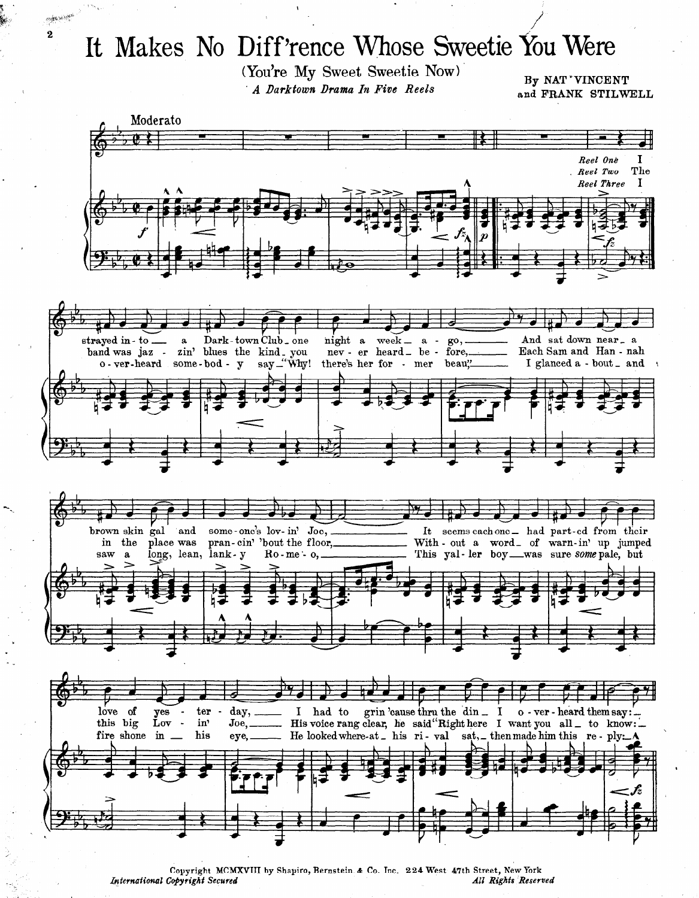## It Makes No Diff'rence Whose Sweetie You Were

عبعوث فلإعلاجه  $\bf 2$ 

> (You're My Sweet Sweetie Now) A Darktown Drama In Five Reels

By NAT 'VINCENT and FRANK STILWELL



Copyright MCMXVIII by Shapiro, Bernstein & Co. Inc. 224 West 47th Street, New York International Copyright Secured All Rights Reserved